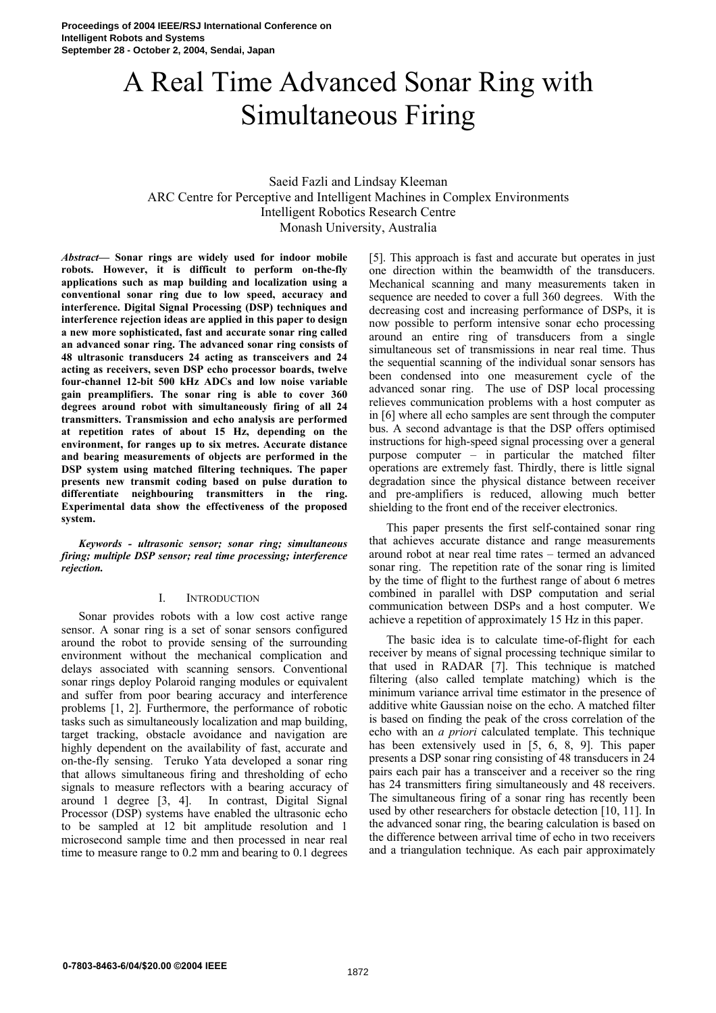# A Real Time Advanced Sonar Ring with Simultaneous Firing

## Saeid Fazli and Lindsay Kleeman ARC Centre for Perceptive and Intelligent Machines in Complex Environments Intelligent Robotics Research Centre Monash University, Australia

*Abstract***— Sonar rings are widely used for indoor mobile robots. However, it is difficult to perform on-the-fly applications such as map building and localization using a conventional sonar ring due to low speed, accuracy and interference. Digital Signal Processing (DSP) techniques and interference rejection ideas are applied in this paper to design a new more sophisticated, fast and accurate sonar ring called an advanced sonar ring. The advanced sonar ring consists of 48 ultrasonic transducers 24 acting as transceivers and 24 acting as receivers, seven DSP echo processor boards, twelve four-channel 12-bit 500 kHz ADCs and low noise variable gain preamplifiers. The sonar ring is able to cover 360 degrees around robot with simultaneously firing of all 24 transmitters. Transmission and echo analysis are performed at repetition rates of about 15 Hz, depending on the environment, for ranges up to six metres. Accurate distance and bearing measurements of objects are performed in the DSP system using matched filtering techniques. The paper presents new transmit coding based on pulse duration to differentiate neighbouring transmitters in the ring. Experimental data show the effectiveness of the proposed system.** 

*Keywords - ultrasonic sensor; sonar ring; simultaneous firing; multiple DSP sensor; real time processing; interference rejection.* 

## I. INTRODUCTION

Sonar provides robots with a low cost active range sensor. A sonar ring is a set of sonar sensors configured around the robot to provide sensing of the surrounding environment without the mechanical complication and delays associated with scanning sensors. Conventional sonar rings deploy Polaroid ranging modules or equivalent and suffer from poor bearing accuracy and interference problems [1, 2]. Furthermore, the performance of robotic tasks such as simultaneously localization and map building, target tracking, obstacle avoidance and navigation are highly dependent on the availability of fast, accurate and on-the-fly sensing. Teruko Yata developed a sonar ring that allows simultaneous firing and thresholding of echo signals to measure reflectors with a bearing accuracy of around 1 degree [3, 4]. In contrast, Digital Signal Processor (DSP) systems have enabled the ultrasonic echo to be sampled at 12 bit amplitude resolution and 1 microsecond sample time and then processed in near real time to measure range to 0.2 mm and bearing to 0.1 degrees [5]. This approach is fast and accurate but operates in just one direction within the beamwidth of the transducers. Mechanical scanning and many measurements taken in sequence are needed to cover a full 360 degrees. With the decreasing cost and increasing performance of DSPs, it is now possible to perform intensive sonar echo processing around an entire ring of transducers from a single simultaneous set of transmissions in near real time. Thus the sequential scanning of the individual sonar sensors has been condensed into one measurement cycle of the advanced sonar ring. The use of DSP local processing relieves communication problems with a host computer as in [6] where all echo samples are sent through the computer bus. A second advantage is that the DSP offers optimised instructions for high-speed signal processing over a general purpose computer – in particular the matched filter operations are extremely fast. Thirdly, there is little signal degradation since the physical distance between receiver and pre-amplifiers is reduced, allowing much better shielding to the front end of the receiver electronics.

This paper presents the first self-contained sonar ring that achieves accurate distance and range measurements around robot at near real time rates – termed an advanced sonar ring. The repetition rate of the sonar ring is limited by the time of flight to the furthest range of about 6 metres combined in parallel with DSP computation and serial communication between DSPs and a host computer. We achieve a repetition of approximately 15 Hz in this paper.

The basic idea is to calculate time-of-flight for each receiver by means of signal processing technique similar to that used in RADAR [7]. This technique is matched filtering (also called template matching) which is the minimum variance arrival time estimator in the presence of additive white Gaussian noise on the echo. A matched filter is based on finding the peak of the cross correlation of the echo with an *a priori* calculated template. This technique has been extensively used in [5, 6, 8, 9]. This paper presents a DSP sonar ring consisting of 48 transducers in 24 pairs each pair has a transceiver and a receiver so the ring has 24 transmitters firing simultaneously and 48 receivers. The simultaneous firing of a sonar ring has recently been used by other researchers for obstacle detection [10, 11]. In the advanced sonar ring, the bearing calculation is based on the difference between arrival time of echo in two receivers and a triangulation technique. As each pair approximately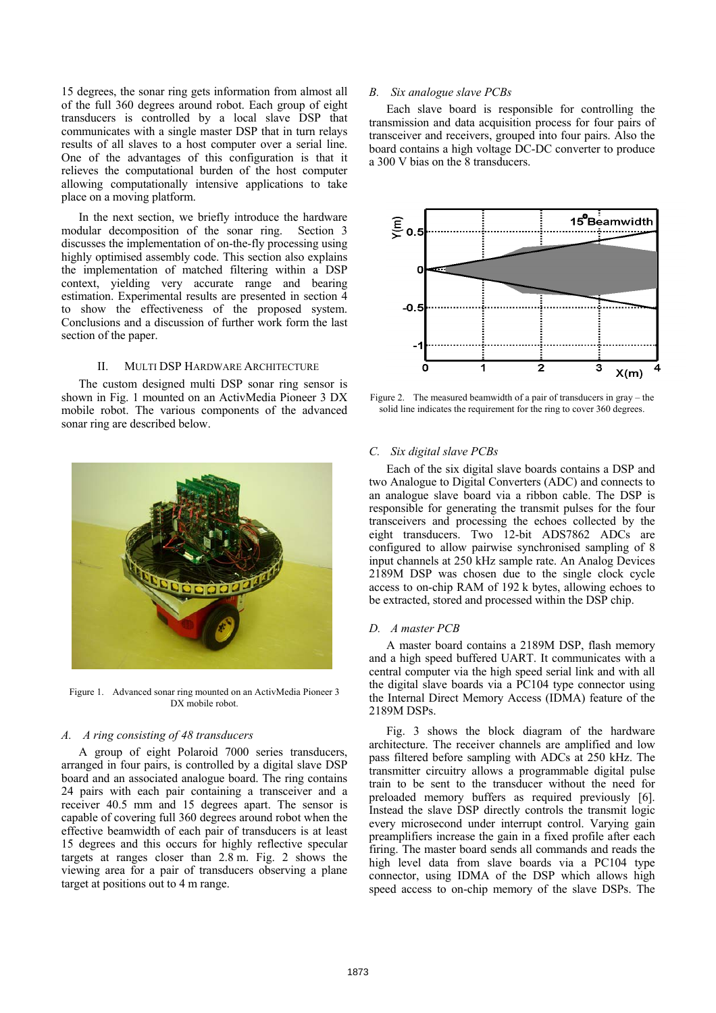15 degrees, the sonar ring gets information from almost all of the full 360 degrees around robot. Each group of eight transducers is controlled by a local slave DSP that communicates with a single master DSP that in turn relays results of all slaves to a host computer over a serial line. One of the advantages of this configuration is that it relieves the computational burden of the host computer allowing computationally intensive applications to take place on a moving platform.

In the next section, we briefly introduce the hardware modular decomposition of the sonar ring. Section 3 discusses the implementation of on-the-fly processing using highly optimised assembly code. This section also explains the implementation of matched filtering within a DSP context, yielding very accurate range and bearing estimation. Experimental results are presented in section 4 to show the effectiveness of the proposed system. Conclusions and a discussion of further work form the last section of the paper.

#### II. MULTI DSP HARDWARE ARCHITECTURE

The custom designed multi DSP sonar ring sensor is shown in Fig. 1 mounted on an ActivMedia Pioneer 3 DX mobile robot. The various components of the advanced sonar ring are described below.



Figure 1. Advanced sonar ring mounted on an ActivMedia Pioneer 3 DX mobile robot.

## *A. A ring consisting of 48 transducers*

A group of eight Polaroid 7000 series transducers, arranged in four pairs, is controlled by a digital slave DSP board and an associated analogue board. The ring contains 24 pairs with each pair containing a transceiver and a receiver 40.5 mm and 15 degrees apart. The sensor is capable of covering full 360 degrees around robot when the effective beamwidth of each pair of transducers is at least 15 degrees and this occurs for highly reflective specular targets at ranges closer than 2.8 m. Fig. 2 shows the viewing area for a pair of transducers observing a plane target at positions out to 4 m range.

#### *B. Six analogue slave PCBs*

Each slave board is responsible for controlling the transmission and data acquisition process for four pairs of transceiver and receivers, grouped into four pairs. Also the board contains a high voltage DC-DC converter to produce a 300 V bias on the 8 transducers.



Figure 2. The measured beamwidth of a pair of transducers in gray – the solid line indicates the requirement for the ring to cover 360 degrees.

#### *C. Six digital slave PCBs*

Each of the six digital slave boards contains a DSP and two Analogue to Digital Converters (ADC) and connects to an analogue slave board via a ribbon cable. The DSP is responsible for generating the transmit pulses for the four transceivers and processing the echoes collected by the eight transducers. Two 12-bit ADS7862 ADCs are configured to allow pairwise synchronised sampling of 8 input channels at 250 kHz sample rate. An Analog Devices 2189M DSP was chosen due to the single clock cycle access to on-chip RAM of 192 k bytes, allowing echoes to be extracted, stored and processed within the DSP chip.

### *D. A master PCB*

A master board contains a 2189M DSP, flash memory and a high speed buffered UART. It communicates with a central computer via the high speed serial link and with all the digital slave boards via a PC104 type connector using the Internal Direct Memory Access (IDMA) feature of the 2189M DSPs.

Fig. 3 shows the block diagram of the hardware architecture. The receiver channels are amplified and low pass filtered before sampling with ADCs at 250 kHz. The transmitter circuitry allows a programmable digital pulse train to be sent to the transducer without the need for preloaded memory buffers as required previously [6]. Instead the slave DSP directly controls the transmit logic every microsecond under interrupt control. Varying gain preamplifiers increase the gain in a fixed profile after each firing. The master board sends all commands and reads the high level data from slave boards via a PC104 type connector, using IDMA of the DSP which allows high speed access to on-chip memory of the slave DSPs. The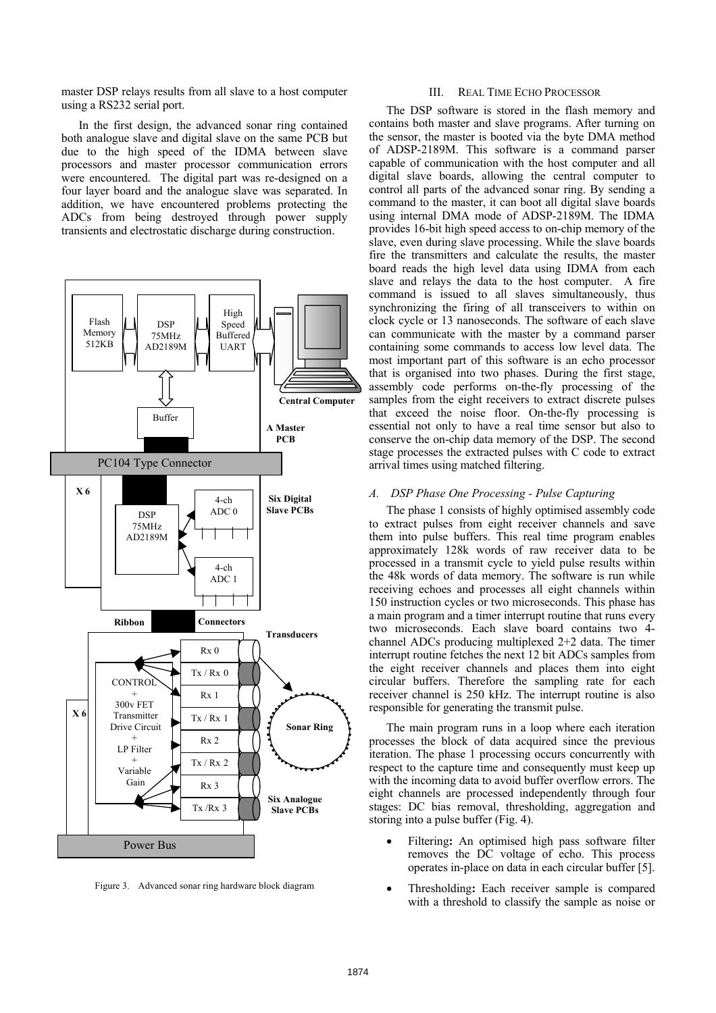master DSP relays results from all slave to a host computer using a RS232 serial port.

In the first design, the advanced sonar ring contained both analogue slave and digital slave on the same PCB but due to the high speed of the IDMA between slave processors and master processor communication errors were encountered. The digital part was re-designed on a four layer board and the analogue slave was separated. In addition, we have encountered problems protecting the ADCs from being destroyed through power supply transients and electrostatic discharge during construction.



Figure 3. Advanced sonar ring hardware block diagram

#### III. REAL TIME ECHO PROCESSOR

The DSP software is stored in the flash memory and contains both master and slave programs. After turning on the sensor, the master is booted via the byte DMA method of ADSP-2189M. This software is a command parser capable of communication with the host computer and all digital slave boards, allowing the central computer to control all parts of the advanced sonar ring. By sending a command to the master, it can boot all digital slave boards using internal DMA mode of ADSP-2189M. The IDMA provides 16-bit high speed access to on-chip memory of the slave, even during slave processing. While the slave boards fire the transmitters and calculate the results, the master board reads the high level data using IDMA from each slave and relays the data to the host computer. A fire command is issued to all slaves simultaneously, thus synchronizing the firing of all transceivers to within on clock cycle or 13 nanoseconds. The software of each slave can communicate with the master by a command parser containing some commands to access low level data. The most important part of this software is an echo processor that is organised into two phases. During the first stage, assembly code performs on-the-fly processing of the samples from the eight receivers to extract discrete pulses that exceed the noise floor. On-the-fly processing is essential not only to have a real time sensor but also to conserve the on-chip data memory of the DSP. The second stage processes the extracted pulses with C code to extract arrival times using matched filtering.

#### *A. DSP Phase One Processing - Pulse Capturing*

The phase 1 consists of highly optimised assembly code to extract pulses from eight receiver channels and save them into pulse buffers. This real time program enables approximately 128k words of raw receiver data to be processed in a transmit cycle to yield pulse results within the 48k words of data memory. The software is run while receiving echoes and processes all eight channels within 150 instruction cycles or two microseconds. This phase has a main program and a timer interrupt routine that runs every two microseconds. Each slave board contains two 4 channel ADCs producing multiplexed 2+2 data. The timer interrupt routine fetches the next 12 bit ADCs samples from the eight receiver channels and places them into eight circular buffers. Therefore the sampling rate for each receiver channel is 250 kHz. The interrupt routine is also responsible for generating the transmit pulse.

The main program runs in a loop where each iteration processes the block of data acquired since the previous iteration. The phase 1 processing occurs concurrently with respect to the capture time and consequently must keep up with the incoming data to avoid buffer overflow errors. The eight channels are processed independently through four stages: DC bias removal, thresholding, aggregation and storing into a pulse buffer (Fig. 4).

- Filtering**:** An optimised high pass software filter removes the DC voltage of echo. This process operates in-place on data in each circular buffer [5].
- Thresholding: Each receiver sample is compared with a threshold to classify the sample as noise or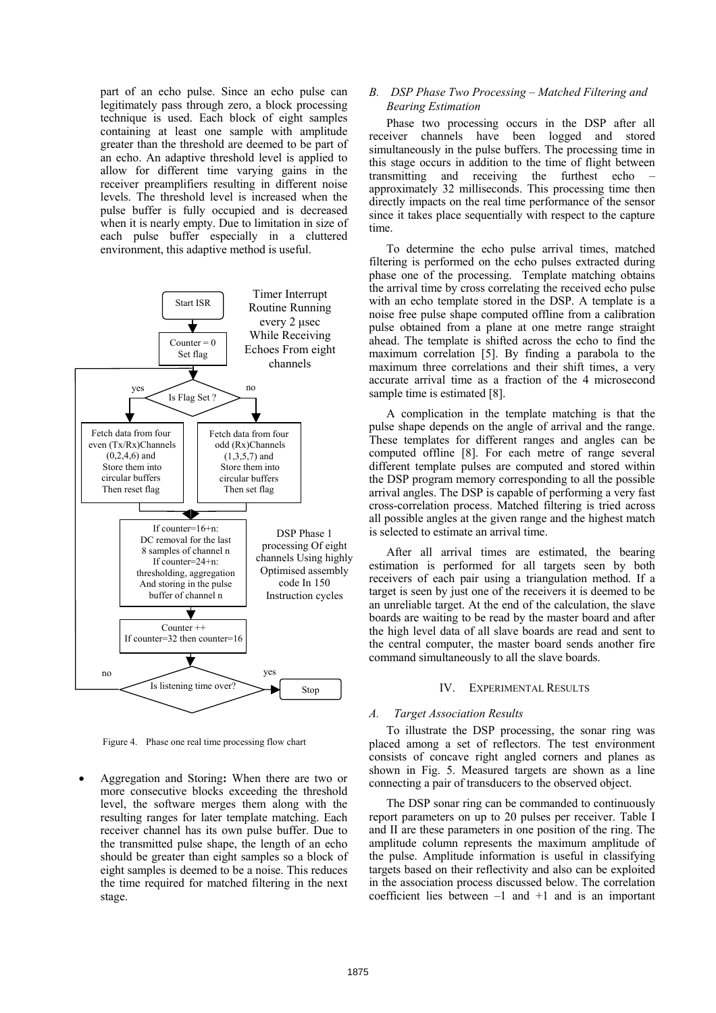part of an echo pulse. Since an echo pulse can legitimately pass through zero, a block processing technique is used. Each block of eight samples containing at least one sample with amplitude greater than the threshold are deemed to be part of an echo. An adaptive threshold level is applied to allow for different time varying gains in the receiver preamplifiers resulting in different noise levels. The threshold level is increased when the pulse buffer is fully occupied and is decreased when it is nearly empty. Due to limitation in size of each pulse buffer especially in a cluttered environment, this adaptive method is useful.



Figure 4. Phase one real time processing flow chart

• Aggregation and Storing**:** When there are two or more consecutive blocks exceeding the threshold level, the software merges them along with the resulting ranges for later template matching. Each receiver channel has its own pulse buffer. Due to the transmitted pulse shape, the length of an echo should be greater than eight samples so a block of eight samples is deemed to be a noise. This reduces the time required for matched filtering in the next stage.

## *B. DSP Phase Two Processing – Matched Filtering and Bearing Estimation*

Phase two processing occurs in the DSP after all receiver channels have been logged and stored simultaneously in the pulse buffers. The processing time in this stage occurs in addition to the time of flight between transmitting and receiving the furthest echo – approximately 32 milliseconds. This processing time then directly impacts on the real time performance of the sensor since it takes place sequentially with respect to the capture time.

To determine the echo pulse arrival times, matched filtering is performed on the echo pulses extracted during phase one of the processing. Template matching obtains the arrival time by cross correlating the received echo pulse with an echo template stored in the DSP. A template is a noise free pulse shape computed offline from a calibration pulse obtained from a plane at one metre range straight ahead. The template is shifted across the echo to find the maximum correlation [5]. By finding a parabola to the maximum three correlations and their shift times, a very accurate arrival time as a fraction of the 4 microsecond sample time is estimated [8].

A complication in the template matching is that the pulse shape depends on the angle of arrival and the range. These templates for different ranges and angles can be computed offline [8]. For each metre of range several different template pulses are computed and stored within the DSP program memory corresponding to all the possible arrival angles. The DSP is capable of performing a very fast cross-correlation process. Matched filtering is tried across all possible angles at the given range and the highest match is selected to estimate an arrival time.

After all arrival times are estimated, the bearing estimation is performed for all targets seen by both receivers of each pair using a triangulation method. If a target is seen by just one of the receivers it is deemed to be an unreliable target. At the end of the calculation, the slave boards are waiting to be read by the master board and after the high level data of all slave boards are read and sent to the central computer, the master board sends another fire command simultaneously to all the slave boards.

#### IV. EXPERIMENTAL RESULTS

#### *A. Target Association Results*

To illustrate the DSP processing, the sonar ring was placed among a set of reflectors. The test environment consists of concave right angled corners and planes as shown in Fig. 5. Measured targets are shown as a line connecting a pair of transducers to the observed object.

The DSP sonar ring can be commanded to continuously report parameters on up to 20 pulses per receiver. Table I and II are these parameters in one position of the ring. The amplitude column represents the maximum amplitude of the pulse. Amplitude information is useful in classifying targets based on their reflectivity and also can be exploited in the association process discussed below. The correlation coefficient lies between  $-1$  and  $+1$  and is an important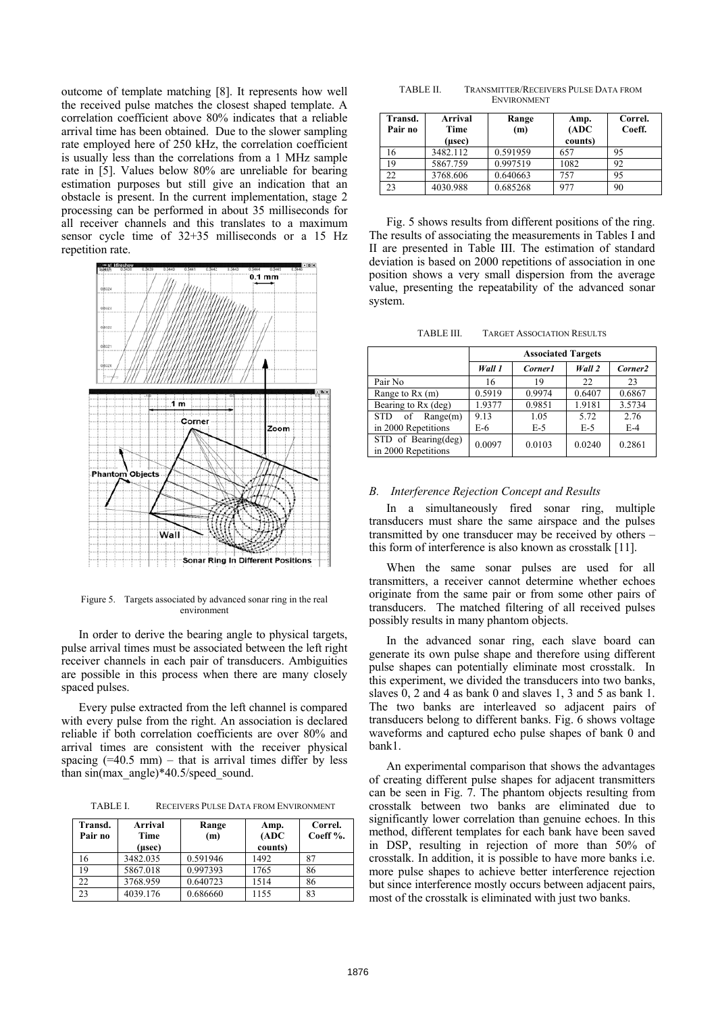outcome of template matching [8]. It represents how well the received pulse matches the closest shaped template. A correlation coefficient above 80% indicates that a reliable arrival time has been obtained. Due to the slower sampling rate employed here of 250 kHz, the correlation coefficient is usually less than the correlations from a 1 MHz sample rate in [5]. Values below 80% are unreliable for bearing estimation purposes but still give an indication that an obstacle is present. In the current implementation, stage 2 processing can be performed in about 35 milliseconds for all receiver channels and this translates to a maximum sensor cycle time of 32+35 milliseconds or a 15 Hz repetition rate.



Figure 5. Targets associated by advanced sonar ring in the real environment

In order to derive the bearing angle to physical targets, pulse arrival times must be associated between the left right receiver channels in each pair of transducers. Ambiguities are possible in this process when there are many closely spaced pulses.

Every pulse extracted from the left channel is compared with every pulse from the right. An association is declared reliable if both correlation coefficients are over 80% and arrival times are consistent with the receiver physical spacing  $(=40.5 \text{ mm})$  – that is arrival times differ by less spacing  $(-40.5 \text{ min})$  – that is arrival times three by less<br>than sin(max\_angle)\*40.5/speed\_sound.  $\therefore$  for experimental comparison that shows the advantages

TABLE I. RECEIVERS PULSE DATA FROM ENVIRONMENT

| Transd.<br>Pair no | Arrival<br>Time<br>(usec) | Range<br>(m) | Amp.<br>(ADC)<br>counts) | Correl.<br>Coeff %. |
|--------------------|---------------------------|--------------|--------------------------|---------------------|
| 16                 | 3482.035                  | 0.591946     | 1492                     |                     |
| 19                 | 5867.018                  | 0.997393     | 1765                     | 86                  |
| 22                 | 3768.959                  | 0.640723     | 1514                     | 86                  |
| 23                 | 4039.176                  | 0.686660     | 1155                     | 83                  |

TABLE II. TRANSMITTER/RECEIVERS PULSE DATA FROM

| Transd.<br>Pair no | <b>Arrival</b><br>Time<br>(usec) | Range<br>(m) | Amp.<br>(ADC)<br>counts) | Correl.<br>Coeff. |
|--------------------|----------------------------------|--------------|--------------------------|-------------------|
| 16                 | 3482.112                         | 0.591959     | 657                      | 95                |
| 19                 | 5867.759                         | 0.997519     | 1082                     | 92                |
| 22                 | 3768.606                         | 0.640663     | 757                      | 95                |
| 23                 | 4030.988                         | 0.685268     | 977                      | 90                |

Fig. 5 shows results from different positions of the ring. The results of associating the measurements in Tables I and II are presented in Table III. The estimation of standard deviation is based on 2000 repetitions of association in one position shows a very small dispersion from the average value, presenting the repeatability of the advanced sonar system.

TABLE III. TARGET ASSOCIATION RESULTS

|                                            | <b>Associated Targets</b> |         |        |                     |
|--------------------------------------------|---------------------------|---------|--------|---------------------|
|                                            | Wall 1                    | Corner1 | Wall 2 | Corner <sub>2</sub> |
| Pair No                                    | 16                        | 19      | 22     | 23                  |
| Range to $Rx(m)$                           | 0.5919                    | 0.9974  | 0.6407 | 0.6867              |
| Bearing to Rx (deg)                        | 1.9377                    | 0.9851  | 1.9181 | 3.5734              |
| <b>STD</b><br>Range(m)<br>of               | 9.13                      | 1.05    | 5.72   | 2.76                |
| in 2000 Repetitions                        | E-6                       | $E-5$   | $E-5$  | $E-4$               |
| STD of Bearing(deg)<br>in 2000 Repetitions | 0.0097                    | 0.0103  | 0.0240 | 0.2861              |

#### *B. Interference Rejection Concept and Results*

In a simultaneously fired sonar ring, multiple transducers must share the same airspace and the pulses transmitted by one transducer may be received by others – this form of interference is also known as crosstalk [11].

When the same sonar pulses are used for all transmitters, a receiver cannot determine whether echoes originate from the same pair or from some other pairs of transducers. The matched filtering of all received pulses possibly results in many phantom objects.

In the advanced sonar ring, each slave board can generate its own pulse shape and therefore using different pulse shapes can potentially eliminate most crosstalk. In this experiment, we divided the transducers into two banks, slaves 0, 2 and 4 as bank 0 and slaves 1, 3 and 5 as bank 1. The two banks are interleaved so adjacent pairs of transducers belong to different banks. Fig. 6 shows voltage waveforms and captured echo pulse shapes of bank 0 and bank1.

of creating different pulse shapes for adjacent transmitters can be seen in Fig. 7. The phantom objects resulting from crosstalk between two banks are eliminated due to significantly lower correlation than genuine echoes. In this method, different templates for each bank have been saved in DSP, resulting in rejection of more than 50% of crosstalk. In addition, it is possible to have more banks i.e. more pulse shapes to achieve better interference rejection but since interference mostly occurs between adjacent pairs, most of the crosstalk is eliminated with just two banks.